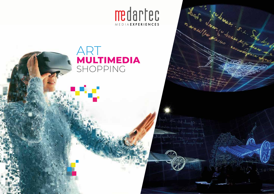

Les Marie Line Since de la Carpennier de la Carpennier de la Carpennier de la Carpennier de la Carpennier de la Carpennier de la Carpennier de la Carpennier de la Carpennier de la Carpennier de la Carpennier de la Carpenni



УÇ.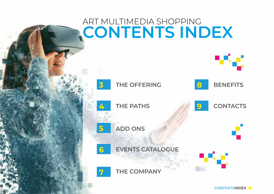## ART MULTIMEDIA SHOPPING **L'EVENTO CONTENTS INDEX** Mar.



SHOPPING COMPANY

CONTENTSINDEX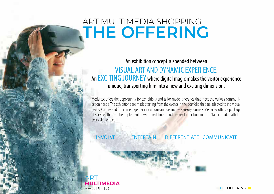### ART MULTIMEDIA SHOPPING **THE OFFERING**

ART

SHOPPING **MULTIMEDIA**

An exhibition concept suspended between **VISUAL ART AND DYNAMIC EXPERIENCE.** An EXCITING JOURNEY where digital magic makes the visitor experience unique, transporting him into a new and exciting dimension.

Medartec offers the opportunity for exhibitions and tailor made itineraries that meet the various communication needs. The exhibitions are made starting from the events in the portfolio that are adapted to individual needs. Culture and fun come together in a unique and distinctive sensory journey. Medartec offers a package of services that can be implemented with predefined modules useful for building the "tailor-made path for every single need.

INVOLVE ENTERTAIN DIFFERENTIATE COMMUNICATE

THEOFFERING **T**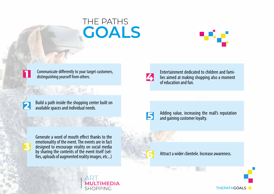### THE PATHS **GOALS**





Communicate differently to your target customers, distinguishing yourself from others.



Build a path inside the shopping center built on available spaces and individual needs.

**CALL SAL DVI I** 



Generate a word of mouth effect thanks to the emotionality of the event. The events are in fact designed to encourage virality on social media by sharing the contents of the event itself (selfies, uploads of augmented reality images, etc...)  $\ddot{\phantom{0}}$ .<br>.

ART

SHOPPING **MULTIMEDIA**



Fntertainment dedicated to children and families aimed at making shopping also a moment of education and fun.

**6**

Adding value, increasing the mall's reputation and gaining customer loyalty.

Attract a wider clientele. Increase awareness.

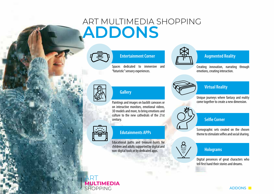### ART MULTIMEDIA SHOPPING **ADDONS**



Spaces dedicated to immersive and "futuristic" sensory experiences.



#### Entertainment Corner **Augmented Reality**

Creating innovation, narrating through emotions, creating interaction.



#### **Gallery**

Paintings and images on backlit canvases or on interactive monitors, emotional videos, 3D models and more, to bring emotions and culture to the new cathedrals of the 21st century.



#### Edutainments APPs

Educational paths and treasure hunts for children and adults supported by digital and non-digital tools or by dedicated apps.



#### Virtual Reality

Unique journeys where fantasy and reality come together to create a new dimension.



#### **Selfie Corner**

Scenographic sets created on the chosen theme to stimulate selfies and social sharing.



### **Holograms**

Digital presences of great characters who tell first hand their stories and dreams.

#### ART SHOPPING **MULTIMEDIA**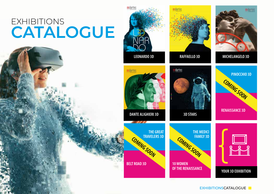## EXHIBITIONS **CATALOGUE**



EXHIBITIONSCATALOGUE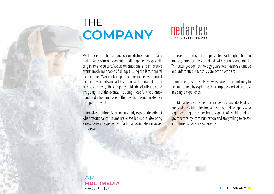### THE **COMPANY**

# medartec

Medartec is an Italian production and distribution company that organizes immersive multimedia experiences specializing in art and culture. We create emotional and innovative events involving people of all ages, using the latest digital technologies. We distribute productions made by a team of technology experts and art historians with knowledge and artistic sensitivity. The company holds the distribution and image rights of the events, including those for the promotion, production and sale of the merchandising created for the specific event.

Immersive multimedia events not only expand the offer of what traditional museums make available, but also bring a new sensory experience of art that completely involves the viewer

The events are curated and presented with high definition images, emotionally combined with sounds and music. This cutting-edge technology quarantees visitors a unique and unforgettable sensory connection with art.

During the artistic events, viewers have the opportunity to be entertained by exploring the complete work of an artist in a single experience.

The Medartec creative team is made up of architects, designers, video / film directors and software developers who together integrate the technical aspects of exhibition design, theatricality, communication and storytelling to create a multimedia sensory experience.

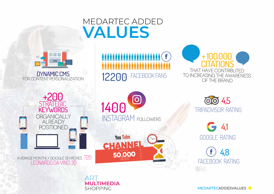### MEDARTEC ADDED **VALUES**



DYNAMIC CMS For content personalization







 Average monthly google searches: 720 LEONARDO DA VINCI 3D

ART

SHOPPING

**MULTIMEDIA**





 TRIPADVISOR RATING **OO** 4,5

GOOGLE RATING  $64.1$ 

 FACEBOOK RATING 4,8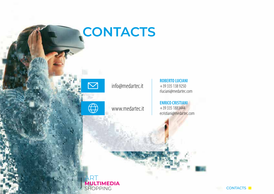